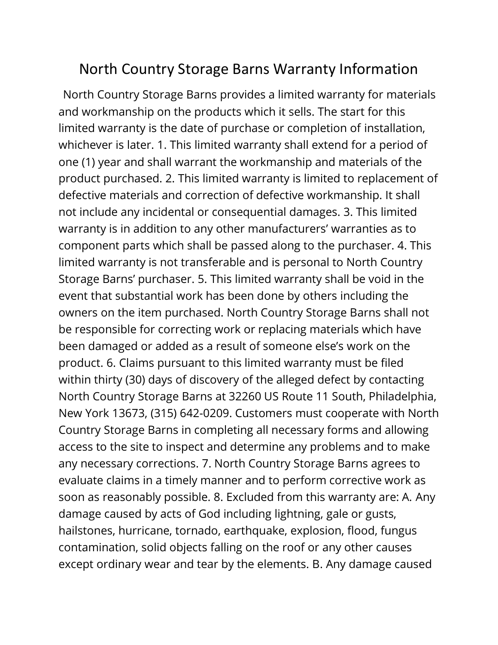## North Country Storage Barns Warranty Information

 North Country Storage Barns provides a limited warranty for materials and workmanship on the products which it sells. The start for this limited warranty is the date of purchase or completion of installation, whichever is later. 1. This limited warranty shall extend for a period of one (1) year and shall warrant the workmanship and materials of the product purchased. 2. This limited warranty is limited to replacement of defective materials and correction of defective workmanship. It shall not include any incidental or consequential damages. 3. This limited warranty is in addition to any other manufacturers' warranties as to component parts which shall be passed along to the purchaser. 4. This limited warranty is not transferable and is personal to North Country Storage Barns' purchaser. 5. This limited warranty shall be void in the event that substantial work has been done by others including the owners on the item purchased. North Country Storage Barns shall not be responsible for correcting work or replacing materials which have been damaged or added as a result of someone else's work on the product. 6. Claims pursuant to this limited warranty must be filed within thirty (30) days of discovery of the alleged defect by contacting North Country Storage Barns at 32260 US Route 11 South, Philadelphia, New York 13673, (315) 642-0209. Customers must cooperate with North Country Storage Barns in completing all necessary forms and allowing access to the site to inspect and determine any problems and to make any necessary corrections. 7. North Country Storage Barns agrees to evaluate claims in a timely manner and to perform corrective work as soon as reasonably possible. 8. Excluded from this warranty are: A. Any damage caused by acts of God including lightning, gale or gusts, hailstones, hurricane, tornado, earthquake, explosion, flood, fungus contamination, solid objects falling on the roof or any other causes except ordinary wear and tear by the elements. B. Any damage caused